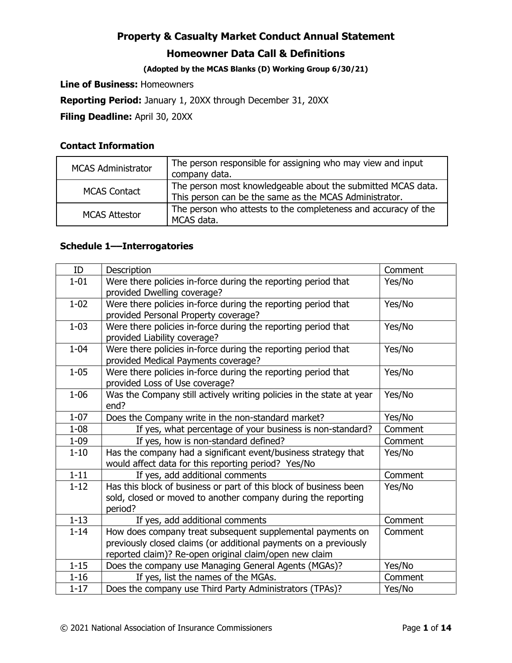#### **(Adopted by the MCAS Blanks (D) Working Group 6/30/21)**

**Line of Business:** Homeowners

**Reporting Period:** January 1, 20XX through December 31, 20XX

**Filing Deadline:** April 30, 20XX

#### **Contact Information**

| <b>MCAS Administrator</b> | The person responsible for assigning who may view and input<br>company data.                                           |
|---------------------------|------------------------------------------------------------------------------------------------------------------------|
| <b>MCAS Contact</b>       | The person most knowledgeable about the submitted MCAS data.<br>This person can be the same as the MCAS Administrator. |
| <b>MCAS Attestor</b>      | The person who attests to the completeness and accuracy of the<br>MCAS data.                                           |

#### **Schedule 1––Interrogatories**

| ID       | Description                                                                                           | Comment |
|----------|-------------------------------------------------------------------------------------------------------|---------|
| $1 - 01$ | Were there policies in-force during the reporting period that                                         | Yes/No  |
|          | provided Dwelling coverage?                                                                           |         |
| $1 - 02$ | Were there policies in-force during the reporting period that<br>provided Personal Property coverage? | Yes/No  |
| $1 - 03$ | Were there policies in-force during the reporting period that                                         | Yes/No  |
|          | provided Liability coverage?                                                                          |         |
| $1 - 04$ | Were there policies in-force during the reporting period that                                         | Yes/No  |
|          | provided Medical Payments coverage?                                                                   |         |
| $1 - 05$ | Were there policies in-force during the reporting period that                                         | Yes/No  |
|          | provided Loss of Use coverage?                                                                        |         |
| $1 - 06$ | Was the Company still actively writing policies in the state at year                                  | Yes/No  |
|          | end?                                                                                                  |         |
| $1 - 07$ | Does the Company write in the non-standard market?                                                    | Yes/No  |
| $1 - 08$ | If yes, what percentage of your business is non-standard?                                             | Comment |
| $1 - 09$ | If yes, how is non-standard defined?                                                                  | Comment |
| $1 - 10$ | Has the company had a significant event/business strategy that                                        | Yes/No  |
|          | would affect data for this reporting period? Yes/No                                                   |         |
| $1 - 11$ | If yes, add additional comments                                                                       | Comment |
| $1 - 12$ | Has this block of business or part of this block of business been                                     | Yes/No  |
|          | sold, closed or moved to another company during the reporting                                         |         |
|          | period?                                                                                               |         |
| $1 - 13$ | If yes, add additional comments                                                                       | Comment |
| $1 - 14$ | How does company treat subsequent supplemental payments on                                            | Comment |
|          | previously closed claims (or additional payments on a previously                                      |         |
|          | reported claim)? Re-open original claim/open new claim                                                |         |
| $1 - 15$ | Does the company use Managing General Agents (MGAs)?                                                  | Yes/No  |
| $1 - 16$ | If yes, list the names of the MGAs.                                                                   | Comment |
| $1 - 17$ | Does the company use Third Party Administrators (TPAs)?                                               | Yes/No  |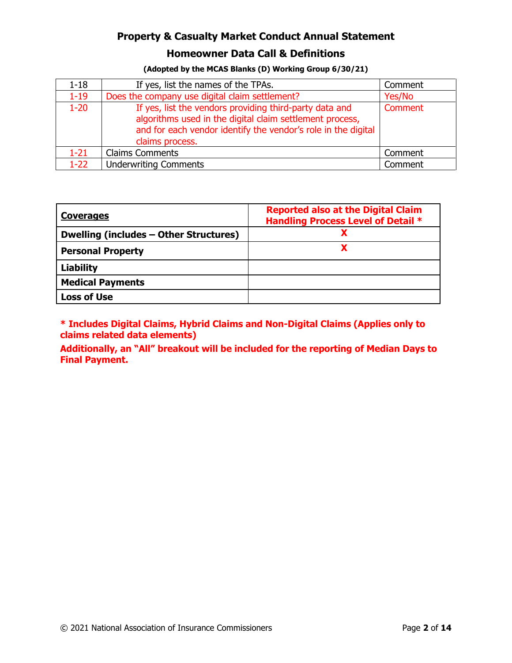#### **Homeowner Data Call & Definitions**

| (Adopted by the MCAS Blanks (D) Working Group 6/30/21) |  |  |
|--------------------------------------------------------|--|--|
|--------------------------------------------------------|--|--|

| $1 - 18$ | If yes, list the names of the TPAs.                                                                                                                                                                     | Comment |
|----------|---------------------------------------------------------------------------------------------------------------------------------------------------------------------------------------------------------|---------|
| $1 - 19$ | Does the company use digital claim settlement?                                                                                                                                                          | Yes/No  |
| $1 - 20$ | If yes, list the vendors providing third-party data and<br>algorithms used in the digital claim settlement process,<br>and for each vendor identify the vendor's role in the digital<br>claims process. | Comment |
| $1 - 21$ | <b>Claims Comments</b>                                                                                                                                                                                  | Comment |
| $1 - 22$ | <b>Underwriting Comments</b>                                                                                                                                                                            | Comment |

| <b>Coverages</b>                       | <b>Reported also at the Digital Claim</b><br><b>Handling Process Level of Detail *</b> |
|----------------------------------------|----------------------------------------------------------------------------------------|
| Dwelling (includes - Other Structures) |                                                                                        |
| <b>Personal Property</b>               |                                                                                        |
| <b>Liability</b>                       |                                                                                        |
| <b>Medical Payments</b>                |                                                                                        |
| <b>Loss of Use</b>                     |                                                                                        |

**\* Includes Digital Claims, Hybrid Claims and Non-Digital Claims (Applies only to claims related data elements)** 

**Additionally, an "All" breakout will be included for the reporting of Median Days to Final Payment.**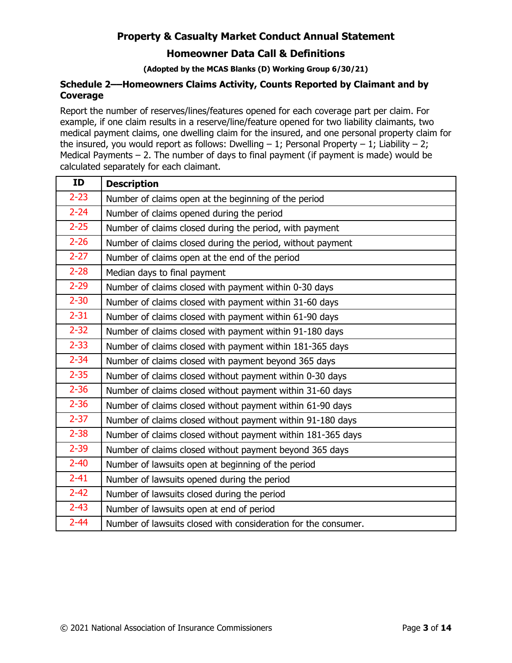#### **Homeowner Data Call & Definitions**

**(Adopted by the MCAS Blanks (D) Working Group 6/30/21)** 

#### **Schedule 2––Homeowners Claims Activity, Counts Reported by Claimant and by Coverage**

Report the number of reserves/lines/features opened for each coverage part per claim. For example, if one claim results in a reserve/line/feature opened for two liability claimants, two medical payment claims, one dwelling claim for the insured, and one personal property claim for the insured, you would report as follows: Dwelling  $-1$ ; Personal Property  $-1$ ; Liability  $-2$ ; Medical Payments  $-2$ . The number of days to final payment (if payment is made) would be calculated separately for each claimant.

| <b>ID</b> | <b>Description</b>                                             |
|-----------|----------------------------------------------------------------|
| $2 - 23$  | Number of claims open at the beginning of the period           |
| $2 - 24$  | Number of claims opened during the period                      |
| $2 - 25$  | Number of claims closed during the period, with payment        |
| $2 - 26$  | Number of claims closed during the period, without payment     |
| $2 - 27$  | Number of claims open at the end of the period                 |
| $2 - 28$  | Median days to final payment                                   |
| $2 - 29$  | Number of claims closed with payment within 0-30 days          |
| $2 - 30$  | Number of claims closed with payment within 31-60 days         |
| $2 - 31$  | Number of claims closed with payment within 61-90 days         |
| $2 - 32$  | Number of claims closed with payment within 91-180 days        |
| $2 - 33$  | Number of claims closed with payment within 181-365 days       |
| $2 - 34$  | Number of claims closed with payment beyond 365 days           |
| $2 - 35$  | Number of claims closed without payment within 0-30 days       |
| $2 - 36$  | Number of claims closed without payment within 31-60 days      |
| $2 - 36$  | Number of claims closed without payment within 61-90 days      |
| $2 - 37$  | Number of claims closed without payment within 91-180 days     |
| $2 - 38$  | Number of claims closed without payment within 181-365 days    |
| $2 - 39$  | Number of claims closed without payment beyond 365 days        |
| $2 - 40$  | Number of lawsuits open at beginning of the period             |
| $2 - 41$  | Number of lawsuits opened during the period                    |
| $2 - 42$  | Number of lawsuits closed during the period                    |
| $2 - 43$  | Number of lawsuits open at end of period                       |
| $2 - 44$  | Number of lawsuits closed with consideration for the consumer. |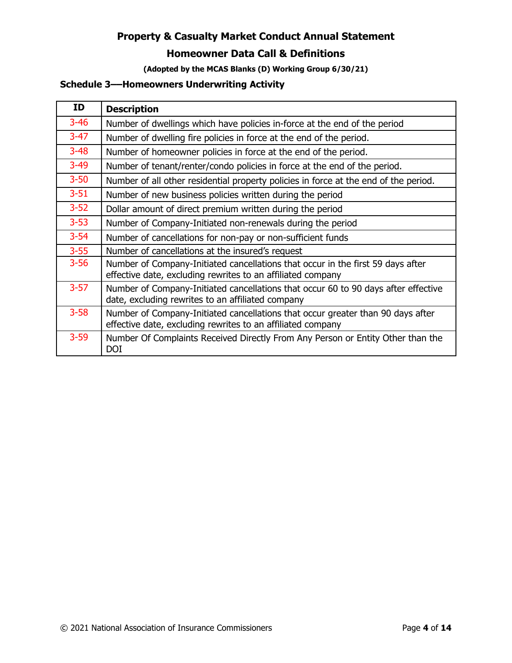### **Homeowner Data Call & Definitions**

**(Adopted by the MCAS Blanks (D) Working Group 6/30/21)** 

#### **Schedule 3––Homeowners Underwriting Activity**

| ID       | <b>Description</b>                                                                                                                             |
|----------|------------------------------------------------------------------------------------------------------------------------------------------------|
| $3 - 46$ | Number of dwellings which have policies in-force at the end of the period                                                                      |
| $3 - 47$ | Number of dwelling fire policies in force at the end of the period.                                                                            |
| $3 - 48$ | Number of homeowner policies in force at the end of the period.                                                                                |
| $3 - 49$ | Number of tenant/renter/condo policies in force at the end of the period.                                                                      |
| $3 - 50$ | Number of all other residential property policies in force at the end of the period.                                                           |
| $3 - 51$ | Number of new business policies written during the period                                                                                      |
| $3 - 52$ | Dollar amount of direct premium written during the period                                                                                      |
| $3 - 53$ | Number of Company-Initiated non-renewals during the period                                                                                     |
| $3 - 54$ | Number of cancellations for non-pay or non-sufficient funds                                                                                    |
| $3 - 55$ | Number of cancellations at the insured's request                                                                                               |
| $3 - 56$ | Number of Company-Initiated cancellations that occur in the first 59 days after<br>effective date, excluding rewrites to an affiliated company |
| $3 - 57$ | Number of Company-Initiated cancellations that occur 60 to 90 days after effective<br>date, excluding rewrites to an affiliated company        |
| $3 - 58$ | Number of Company-Initiated cancellations that occur greater than 90 days after<br>effective date, excluding rewrites to an affiliated company |
| $3 - 59$ | Number Of Complaints Received Directly From Any Person or Entity Other than the<br><b>DOI</b>                                                  |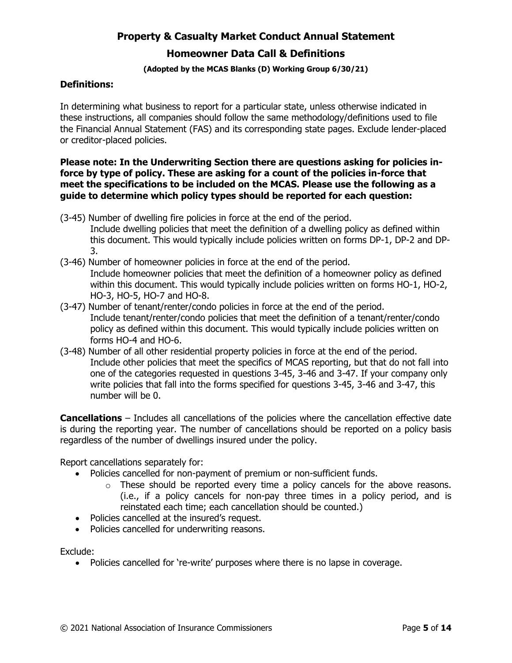#### **Homeowner Data Call & Definitions**

#### **(Adopted by the MCAS Blanks (D) Working Group 6/30/21)**

#### **Definitions:**

In determining what business to report for a particular state, unless otherwise indicated in these instructions, all companies should follow the same methodology/definitions used to file the Financial Annual Statement (FAS) and its corresponding state pages. Exclude lender-placed or creditor-placed policies.

#### **Please note: In the Underwriting Section there are questions asking for policies inforce by type of policy. These are asking for a count of the policies in-force that meet the specifications to be included on the MCAS. Please use the following as a guide to determine which policy types should be reported for each question:**

- (3-45) Number of dwelling fire policies in force at the end of the period. Include dwelling policies that meet the definition of a dwelling policy as defined within this document. This would typically include policies written on forms DP-1, DP-2 and DP-3.
- (3-46) Number of homeowner policies in force at the end of the period. Include homeowner policies that meet the definition of a homeowner policy as defined within this document. This would typically include policies written on forms HO-1, HO-2, HO-3, HO-5, HO-7 and HO-8.
- (3-47) Number of tenant/renter/condo policies in force at the end of the period. Include tenant/renter/condo policies that meet the definition of a tenant/renter/condo policy as defined within this document. This would typically include policies written on forms HO-4 and HO-6.
- (3-48) Number of all other residential property policies in force at the end of the period. Include other policies that meet the specifics of MCAS reporting, but that do not fall into one of the categories requested in questions 3-45, 3-46 and 3-47. If your company only write policies that fall into the forms specified for questions 3-45, 3-46 and 3-47, this number will be 0.

**Cancellations** – Includes all cancellations of the policies where the cancellation effective date is during the reporting year. The number of cancellations should be reported on a policy basis regardless of the number of dwellings insured under the policy.

Report cancellations separately for:

- Policies cancelled for non-payment of premium or non-sufficient funds.
	- $\circ$  These should be reported every time a policy cancels for the above reasons. (i.e., if a policy cancels for non-pay three times in a policy period, and is reinstated each time; each cancellation should be counted.)
- Policies cancelled at the insured's request.
- Policies cancelled for underwriting reasons.

Exclude:

• Policies cancelled for 're-write' purposes where there is no lapse in coverage.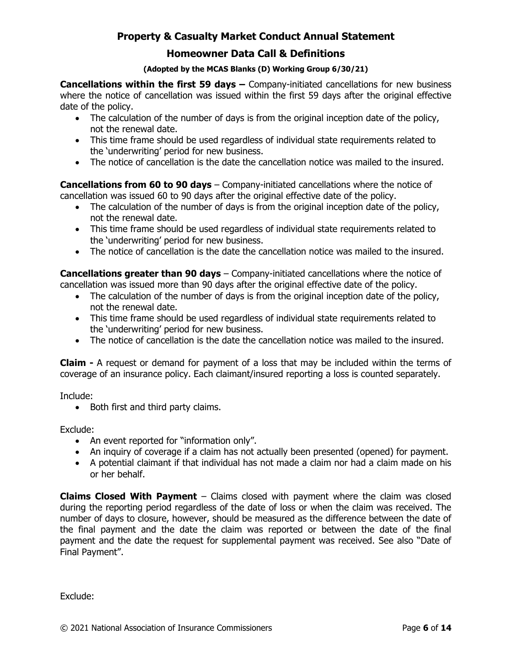#### **Homeowner Data Call & Definitions**

#### **(Adopted by the MCAS Blanks (D) Working Group 6/30/21)**

**Cancellations within the first 59 days –** Company-initiated cancellations for new business where the notice of cancellation was issued within the first 59 days after the original effective date of the policy.

- The calculation of the number of days is from the original inception date of the policy, not the renewal date.
- This time frame should be used regardless of individual state requirements related to the 'underwriting' period for new business.
- The notice of cancellation is the date the cancellation notice was mailed to the insured.

**Cancellations from 60 to 90 days** – Company-initiated cancellations where the notice of cancellation was issued 60 to 90 days after the original effective date of the policy.

- The calculation of the number of days is from the original inception date of the policy, not the renewal date.
- This time frame should be used regardless of individual state requirements related to the 'underwriting' period for new business.
- The notice of cancellation is the date the cancellation notice was mailed to the insured.

**Cancellations greater than 90 days** – Company-initiated cancellations where the notice of cancellation was issued more than 90 days after the original effective date of the policy.

- The calculation of the number of days is from the original inception date of the policy, not the renewal date.
- This time frame should be used regardless of individual state requirements related to the 'underwriting' period for new business.
- The notice of cancellation is the date the cancellation notice was mailed to the insured.

**Claim -** A request or demand for payment of a loss that may be included within the terms of coverage of an insurance policy. Each claimant/insured reporting a loss is counted separately.

Include:

• Both first and third party claims.

Exclude:

- An event reported for "information only".
- An inquiry of coverage if a claim has not actually been presented (opened) for payment.
- A potential claimant if that individual has not made a claim nor had a claim made on his or her behalf.

**Claims Closed With Payment** – Claims closed with payment where the claim was closed during the reporting period regardless of the date of loss or when the claim was received. The number of days to closure, however, should be measured as the difference between the date of the final payment and the date the claim was reported or between the date of the final payment and the date the request for supplemental payment was received. See also "Date of Final Payment".

Exclude: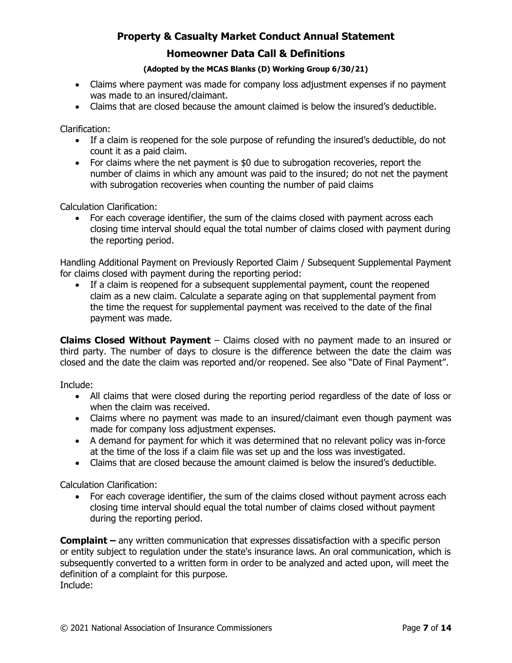#### **Homeowner Data Call & Definitions**

#### **(Adopted by the MCAS Blanks (D) Working Group 6/30/21)**

- Claims where payment was made for company loss adjustment expenses if no payment was made to an insured/claimant.
- Claims that are closed because the amount claimed is below the insured's deductible.

Clarification:

- If a claim is reopened for the sole purpose of refunding the insured's deductible, do not count it as a paid claim.
- For claims where the net payment is \$0 due to subrogation recoveries, report the number of claims in which any amount was paid to the insured; do not net the payment with subrogation recoveries when counting the number of paid claims

Calculation Clarification:

• For each coverage identifier, the sum of the claims closed with payment across each closing time interval should equal the total number of claims closed with payment during the reporting period.

Handling Additional Payment on Previously Reported Claim / Subsequent Supplemental Payment for claims closed with payment during the reporting period:

• If a claim is reopened for a subsequent supplemental payment, count the reopened claim as a new claim. Calculate a separate aging on that supplemental payment from the time the request for supplemental payment was received to the date of the final payment was made.

**Claims Closed Without Payment** – Claims closed with no payment made to an insured or third party. The number of days to closure is the difference between the date the claim was closed and the date the claim was reported and/or reopened. See also "Date of Final Payment".

Include:

- All claims that were closed during the reporting period regardless of the date of loss or when the claim was received.
- Claims where no payment was made to an insured/claimant even though payment was made for company loss adjustment expenses.
- A demand for payment for which it was determined that no relevant policy was in-force at the time of the loss if a claim file was set up and the loss was investigated.
- Claims that are closed because the amount claimed is below the insured's deductible.

Calculation Clarification:

• For each coverage identifier, the sum of the claims closed without payment across each closing time interval should equal the total number of claims closed without payment during the reporting period.

**Complaint –** any written communication that expresses dissatisfaction with a specific person or entity subject to regulation under the state's insurance laws. An oral communication, which is subsequently converted to a written form in order to be analyzed and acted upon, will meet the definition of a complaint for this purpose. Include: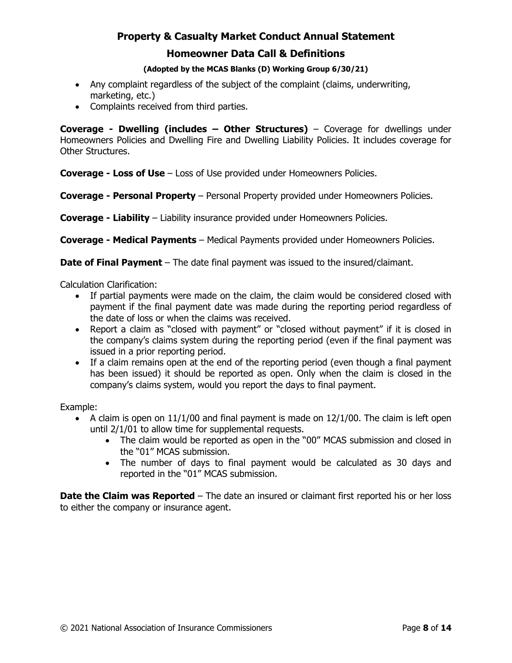#### **Homeowner Data Call & Definitions**

#### **(Adopted by the MCAS Blanks (D) Working Group 6/30/21)**

- Any complaint regardless of the subject of the complaint (claims, underwriting, marketing, etc.)
- Complaints received from third parties.

**Coverage - Dwelling (includes – Other Structures)** – Coverage for dwellings under Homeowners Policies and Dwelling Fire and Dwelling Liability Policies. It includes coverage for Other Structures.

**Coverage - Loss of Use** – Loss of Use provided under Homeowners Policies.

**Coverage - Personal Property** – Personal Property provided under Homeowners Policies.

**Coverage - Liability** – Liability insurance provided under Homeowners Policies.

**Coverage - Medical Payments** – Medical Payments provided under Homeowners Policies.

**Date of Final Payment** – The date final payment was issued to the insured/claimant.

Calculation Clarification:

- If partial payments were made on the claim, the claim would be considered closed with payment if the final payment date was made during the reporting period regardless of the date of loss or when the claims was received.
- Report a claim as "closed with payment" or "closed without payment" if it is closed in the company's claims system during the reporting period (even if the final payment was issued in a prior reporting period.
- If a claim remains open at the end of the reporting period (even though a final payment has been issued) it should be reported as open. Only when the claim is closed in the company's claims system, would you report the days to final payment.

Example:

- A claim is open on  $11/1/00$  and final payment is made on  $12/1/00$ . The claim is left open until 2/1/01 to allow time for supplemental requests.
	- The claim would be reported as open in the "00" MCAS submission and closed in the "01" MCAS submission.
	- The number of days to final payment would be calculated as 30 days and reported in the "01" MCAS submission.

**Date the Claim was Reported** – The date an insured or claimant first reported his or her loss to either the company or insurance agent.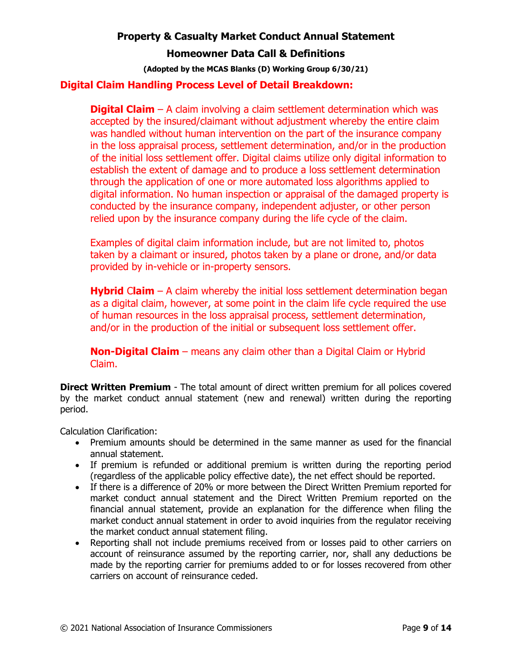#### **Homeowner Data Call & Definitions**

**(Adopted by the MCAS Blanks (D) Working Group 6/30/21)** 

#### **Digital Claim Handling Process Level of Detail Breakdown:**

**Digital Claim** – A claim involving a claim settlement determination which was accepted by the insured/claimant without adjustment whereby the entire claim was handled without human intervention on the part of the insurance company in the loss appraisal process, settlement determination, and/or in the production of the initial loss settlement offer. Digital claims utilize only digital information to establish the extent of damage and to produce a loss settlement determination through the application of one or more automated loss algorithms applied to digital information. No human inspection or appraisal of the damaged property is conducted by the insurance company, independent adjuster, or other person relied upon by the insurance company during the life cycle of the claim.

Examples of digital claim information include, but are not limited to, photos taken by a claimant or insured, photos taken by a plane or drone, and/or data provided by in-vehicle or in-property sensors.

**Hybrid** C**laim** – A claim whereby the initial loss settlement determination began as a digital claim, however, at some point in the claim life cycle required the use of human resources in the loss appraisal process, settlement determination, and/or in the production of the initial or subsequent loss settlement offer.

**Non-Digital Claim** – means any claim other than a Digital Claim or Hybrid Claim.

**Direct Written Premium** - The total amount of direct written premium for all polices covered by the market conduct annual statement (new and renewal) written during the reporting period.

Calculation Clarification:

- Premium amounts should be determined in the same manner as used for the financial annual statement.
- If premium is refunded or additional premium is written during the reporting period (regardless of the applicable policy effective date), the net effect should be reported.
- If there is a difference of 20% or more between the Direct Written Premium reported for market conduct annual statement and the Direct Written Premium reported on the financial annual statement, provide an explanation for the difference when filing the market conduct annual statement in order to avoid inquiries from the regulator receiving the market conduct annual statement filing.
- Reporting shall not include premiums received from or losses paid to other carriers on account of reinsurance assumed by the reporting carrier, nor, shall any deductions be made by the reporting carrier for premiums added to or for losses recovered from other carriers on account of reinsurance ceded.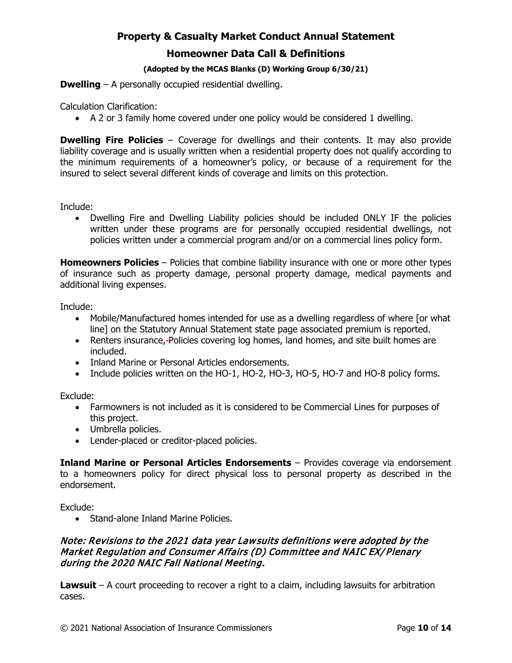#### **(Adopted by the MCAS Blanks (D) Working Group 6/30/21)**

**Dwelling** – A personally occupied residential dwelling.

Calculation Clarification:

• A 2 or 3 family home covered under one policy would be considered 1 dwelling.

**Dwelling Fire Policies** – Coverage for dwellings and their contents. It may also provide liability coverage and is usually written when a residential property does not qualify according to the minimum requirements of a homeowner's policy, or because of a requirement for the insured to select several different kinds of coverage and limits on this protection.

Include:

• Dwelling Fire and Dwelling Liability policies should be included ONLY IF the policies written under these programs are for personally occupied residential dwellings, not policies written under a commercial program and/or on a commercial lines policy form.

**Homeowners Policies** – Policies that combine liability insurance with one or more other types of insurance such as property damage, personal property damage, medical payments and additional living expenses.

Include:

- Mobile/Manufactured homes intended for use as a dwelling regardless of where [or what line] on the Statutory Annual Statement state page associated premium is reported.
- Renters insurance,-Policies covering log homes, land homes, and site built homes are included.
- Inland Marine or Personal Articles endorsements.
- Include policies written on the HO-1, HO-2, HO-3, HO-5, HO-7 and HO-8 policy forms.

Exclude:

- Farmowners is not included as it is considered to be Commercial Lines for purposes of this project.
- Umbrella policies.
- Lender-placed or creditor-placed policies.

**Inland Marine or Personal Articles Endorsements** – Provides coverage via endorsement to a homeowners policy for direct physical loss to personal property as described in the endorsement.

Exclude:

• Stand-alone Inland Marine Policies.

#### Note: Revisions to the 2021 data year Lawsuits definitions were adopted by the Market Regulation and Consumer Affairs (D) Committee and NAIC EX/ Plenary during the 2020 NAIC Fall National Meeting.

**Lawsuit** – A court proceeding to recover a right to a claim, including lawsuits for arbitration cases.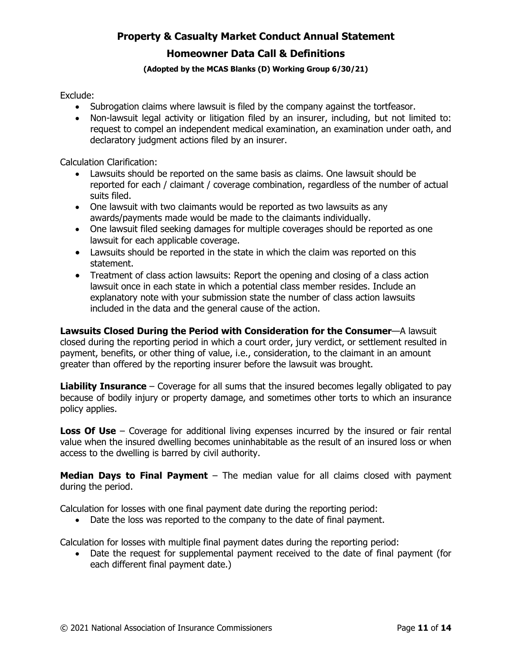#### **Homeowner Data Call & Definitions**

#### **(Adopted by the MCAS Blanks (D) Working Group 6/30/21)**

Exclude:

- Subrogation claims where lawsuit is filed by the company against the tortfeasor.
- Non-lawsuit legal activity or litigation filed by an insurer, including, but not limited to: request to compel an independent medical examination, an examination under oath, and declaratory judgment actions filed by an insurer.

Calculation Clarification:

- Lawsuits should be reported on the same basis as claims. One lawsuit should be reported for each / claimant / coverage combination, regardless of the number of actual suits filed.
- One lawsuit with two claimants would be reported as two lawsuits as any awards/payments made would be made to the claimants individually.
- One lawsuit filed seeking damages for multiple coverages should be reported as one lawsuit for each applicable coverage.
- Lawsuits should be reported in the state in which the claim was reported on this statement.
- Treatment of class action lawsuits: Report the opening and closing of a class action lawsuit once in each state in which a potential class member resides. Include an explanatory note with your submission state the number of class action lawsuits included in the data and the general cause of the action.

**Lawsuits Closed During the Period with Consideration for the Consumer**—A lawsuit closed during the reporting period in which a court order, jury verdict, or settlement resulted in payment, benefits, or other thing of value, i.e., consideration, to the claimant in an amount greater than offered by the reporting insurer before the lawsuit was brought.

**Liability Insurance** – Coverage for all sums that the insured becomes legally obligated to pay because of bodily injury or property damage, and sometimes other torts to which an insurance policy applies.

**Loss Of Use** – Coverage for additional living expenses incurred by the insured or fair rental value when the insured dwelling becomes uninhabitable as the result of an insured loss or when access to the dwelling is barred by civil authority.

**Median Days to Final Payment** – The median value for all claims closed with payment during the period.

Calculation for losses with one final payment date during the reporting period:

• Date the loss was reported to the company to the date of final payment.

Calculation for losses with multiple final payment dates during the reporting period:

• Date the request for supplemental payment received to the date of final payment (for each different final payment date.)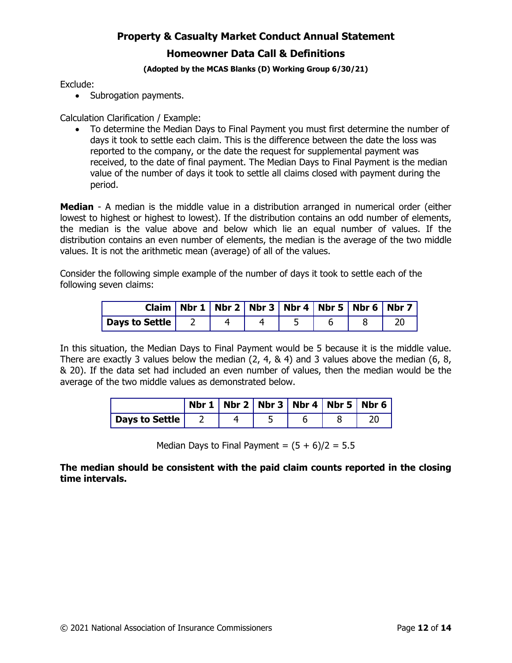#### **(Adopted by the MCAS Blanks (D) Working Group 6/30/21)**

Exclude:

• Subrogation payments.

Calculation Clarification / Example:

• To determine the Median Days to Final Payment you must first determine the number of days it took to settle each claim. This is the difference between the date the loss was reported to the company, or the date the request for supplemental payment was received, to the date of final payment. The Median Days to Final Payment is the median value of the number of days it took to settle all claims closed with payment during the period.

**Median** - A median is the middle value in a distribution arranged in numerical order (either lowest to highest or highest to lowest). If the distribution contains an odd number of elements, the median is the value above and below which lie an equal number of values. If the distribution contains an even number of elements, the median is the average of the two middle values. It is not the arithmetic mean (average) of all of the values.

Consider the following simple example of the number of days it took to settle each of the following seven claims:

|                         | Claim   Nbr 1   Nbr 2   Nbr 3   Nbr 4   Nbr 5   Nbr 6   Nbr 7 |  |  |  |
|-------------------------|---------------------------------------------------------------|--|--|--|
| <b>Days to Settle</b> 2 |                                                               |  |  |  |

In this situation, the Median Days to Final Payment would be 5 because it is the middle value. There are exactly 3 values below the median (2, 4, & 4) and 3 values above the median (6, 8, & 20). If the data set had included an even number of values, then the median would be the average of the two middle values as demonstrated below.

|                | Nbr 1   Nbr 2   Nbr 3   Nbr 4   Nbr 5   Nbr 6 |  |  |
|----------------|-----------------------------------------------|--|--|
| Days to Settle |                                               |  |  |

Median Days to Final Payment =  $(5 + 6)/2 = 5.5$ 

#### **The median should be consistent with the paid claim counts reported in the closing time intervals.**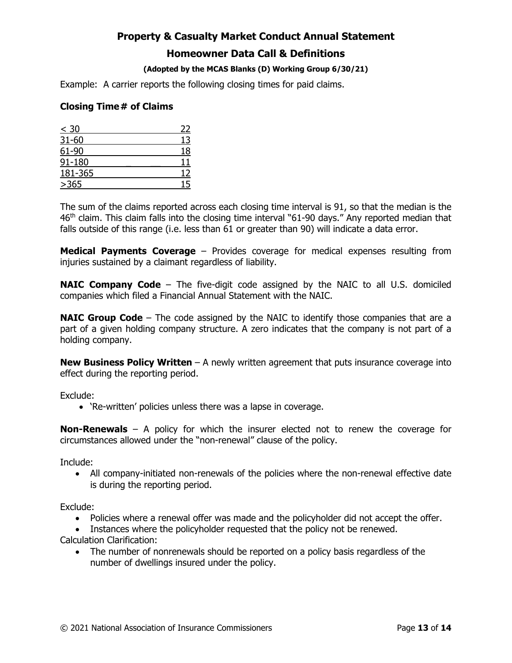#### **(Adopted by the MCAS Blanks (D) Working Group 6/30/21)**

Example: A carrier reports the following closing times for paid claims.

#### **Closing Time # of Claims**

| $\leq 30$ | 22 |
|-----------|----|
| 31-60     | 13 |
| 61-90     | 18 |
| 91-180    | 11 |
| 181-365   | 12 |
| >365      | 15 |

The sum of the claims reported across each closing time interval is 91, so that the median is the 46<sup>th</sup> claim. This claim falls into the closing time interval "61-90 days." Any reported median that falls outside of this range (i.e. less than 61 or greater than 90) will indicate a data error.

**Medical Payments Coverage** – Provides coverage for medical expenses resulting from injuries sustained by a claimant regardless of liability.

**NAIC Company Code** – The five-digit code assigned by the NAIC to all U.S. domiciled companies which filed a Financial Annual Statement with the NAIC.

**NAIC Group Code** – The code assigned by the NAIC to identify those companies that are a part of a given holding company structure. A zero indicates that the company is not part of a holding company.

**New Business Policy Written** - A newly written agreement that puts insurance coverage into effect during the reporting period.

Exclude:

• 'Re-written' policies unless there was a lapse in coverage.

**Non-Renewals** – A policy for which the insurer elected not to renew the coverage for circumstances allowed under the "non-renewal" clause of the policy.

Include:

• All company-initiated non-renewals of the policies where the non-renewal effective date is during the reporting period.

Exclude:

- Policies where a renewal offer was made and the policyholder did not accept the offer.
- Instances where the policyholder requested that the policy not be renewed. Calculation Clarification:
	- The number of nonrenewals should be reported on a policy basis regardless of the number of dwellings insured under the policy.